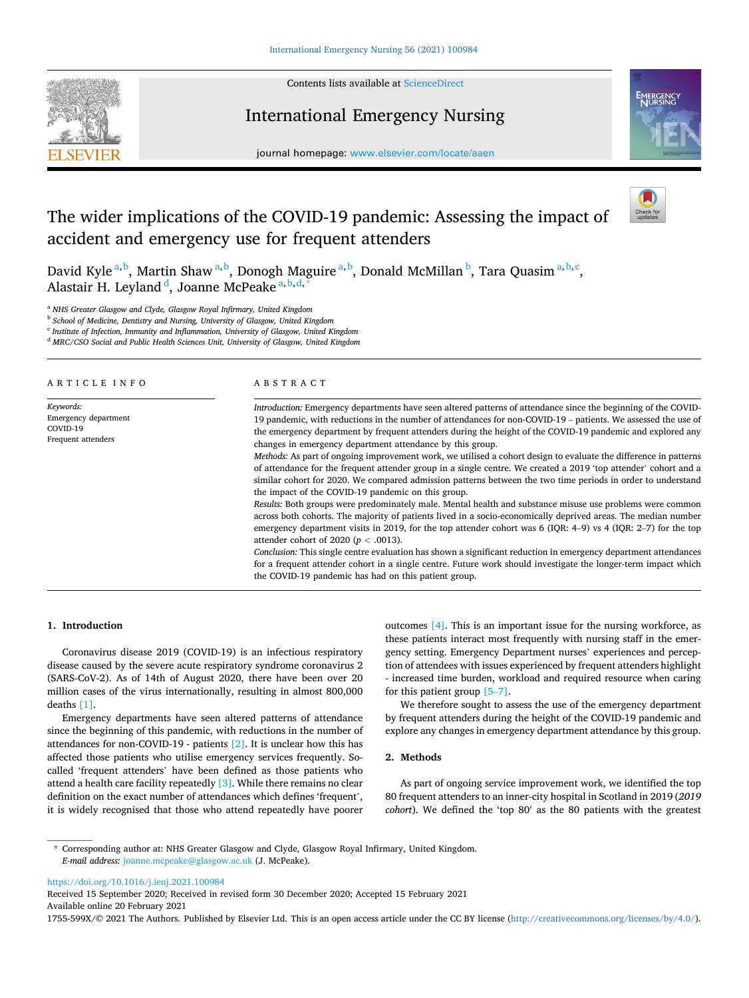

Contents lists available at [ScienceDirect](www.sciencedirect.com/science/journal/1755599X)

# International Emergency Nursing



journal homepage: [www.elsevier.com/locate/aaen](https://www.elsevier.com/locate/aaen)

# The wider implications of the COVID-19 pandemic: Assessing the impact of accident and emergency use for frequent attenders



David Kyle $^{\rm a,b}$ , Martin Shaw $^{\rm a,b}$ , Donogh Maguire $^{\rm a,b}$ , Donald McMillan $^{\rm b}$ , Tara Quasim $^{\rm a,b,c}$ , Alastair H. Leyland <sup>d</sup>, Joanne McPeake <sup>a, b, d, \*</sup>

<sup>a</sup> *NHS Greater Glasgow and Clyde, Glasgow Royal Infirmary, United Kingdom* 

<sup>b</sup> *School of Medicine, Dentistry and Nursing, University of Glasgow, United Kingdom* 

<sup>c</sup> *Institute of Infection, Immunity and Inflammation, University of Glasgow, United Kingdom* 

<sup>d</sup> *MRC/CSO Social and Public Health Sciences Unit, University of Glasgow, United Kingdom* 

| ARTICLE INFO                                                        | ABSTRACT                                                                                                                                                                                                                                                                                                                                                                                                                                                                                                                                                                                                                                                                                                                                                                                                                                                                                                                                                                                                                                                                                                                                                                                                                                                                                                                                                                                                                                                                                                                  |
|---------------------------------------------------------------------|---------------------------------------------------------------------------------------------------------------------------------------------------------------------------------------------------------------------------------------------------------------------------------------------------------------------------------------------------------------------------------------------------------------------------------------------------------------------------------------------------------------------------------------------------------------------------------------------------------------------------------------------------------------------------------------------------------------------------------------------------------------------------------------------------------------------------------------------------------------------------------------------------------------------------------------------------------------------------------------------------------------------------------------------------------------------------------------------------------------------------------------------------------------------------------------------------------------------------------------------------------------------------------------------------------------------------------------------------------------------------------------------------------------------------------------------------------------------------------------------------------------------------|
| Keywords:<br>Emergency department<br>COVID-19<br>Frequent attenders | Introduction: Emergency departments have seen altered patterns of attendance since the beginning of the COVID-<br>19 pandemic, with reductions in the number of attendances for non-COVID-19 – patients. We assessed the use of<br>the emergency department by frequent attenders during the height of the COVID-19 pandemic and explored any<br>changes in emergency department attendance by this group.<br><i>Methods:</i> As part of ongoing improvement work, we utilised a cohort design to evaluate the difference in patterns<br>of attendance for the frequent attender group in a single centre. We created a 2019 'top attender' cohort and a<br>similar cohort for 2020. We compared admission patterns between the two time periods in order to understand<br>the impact of the COVID-19 pandemic on this group.<br>Results: Both groups were predominately male. Mental health and substance misuse use problems were common<br>across both cohorts. The majority of patients lived in a socio-economically deprived areas. The median number<br>emergency department visits in 2019, for the top attender cohort was $6$ (IQR: 4–9) vs $4$ (IQR: 2–7) for the top<br>attender cohort of 2020 ( $p < .0013$ ).<br>Conclusion: This single centre evaluation has shown a significant reduction in emergency department attendances<br>for a frequent attender cohort in a single centre. Future work should investigate the longer-term impact which<br>the COVID-19 pandemic has had on this patient group. |

### **1. Introduction**

Coronavirus disease 2019 (COVID-19) is an infectious respiratory disease caused by the severe acute respiratory syndrome coronavirus 2 (SARS-CoV-2). As of 14th of August 2020, there have been over 20 million cases of the virus internationally, resulting in almost 800,000 deaths [\[1\]](#page-2-0).

Emergency departments have seen altered patterns of attendance since the beginning of this pandemic, with reductions in the number of attendances for non-COVID-19 - patients [\[2\].](#page-2-0) It is unclear how this has affected those patients who utilise emergency services frequently. Socalled 'frequent attenders' have been defined as those patients who attend a health care facility repeatedly [\[3\].](#page-2-0) While there remains no clear definition on the exact number of attendances which defines 'frequent', it is widely recognised that those who attend repeatedly have poorer outcomes [\[4\]](#page-2-0). This is an important issue for the nursing workforce, as these patients interact most frequently with nursing staff in the emergency setting. Emergency Department nurses' experiences and perception of attendees with issues experienced by frequent attenders highlight - increased time burden, workload and required resource when caring for this patient group [\[5](#page-2-0)–7].

We therefore sought to assess the use of the emergency department by frequent attenders during the height of the COVID-19 pandemic and explore any changes in emergency department attendance by this group.

# **2. Methods**

As part of ongoing service improvement work, we identified the top 80 frequent attenders to an inner-city hospital in Scotland in 2019 (*2019 cohort*). We defined the 'top 80′ as the 80 patients with the greatest

<https://doi.org/10.1016/j.ienj.2021.100984>

Available online 20 February 2021 Received 15 September 2020; Received in revised form 30 December 2020; Accepted 15 February 2021

1755-599X/© 2021 The Authors. Published by Elsevier Ltd. This is an open access article under the CC BY license [\(http://creativecommons.org/licenses/by/4.0/\)](http://creativecommons.org/licenses/by/4.0/).

<sup>\*</sup> Corresponding author at: NHS Greater Glasgow and Clyde, Glasgow Royal Infirmary, United Kingdom. *E-mail address:* [joanne.mcpeake@glasgow.ac.uk](mailto:joanne.mcpeake@glasgow.ac.uk) (J. McPeake).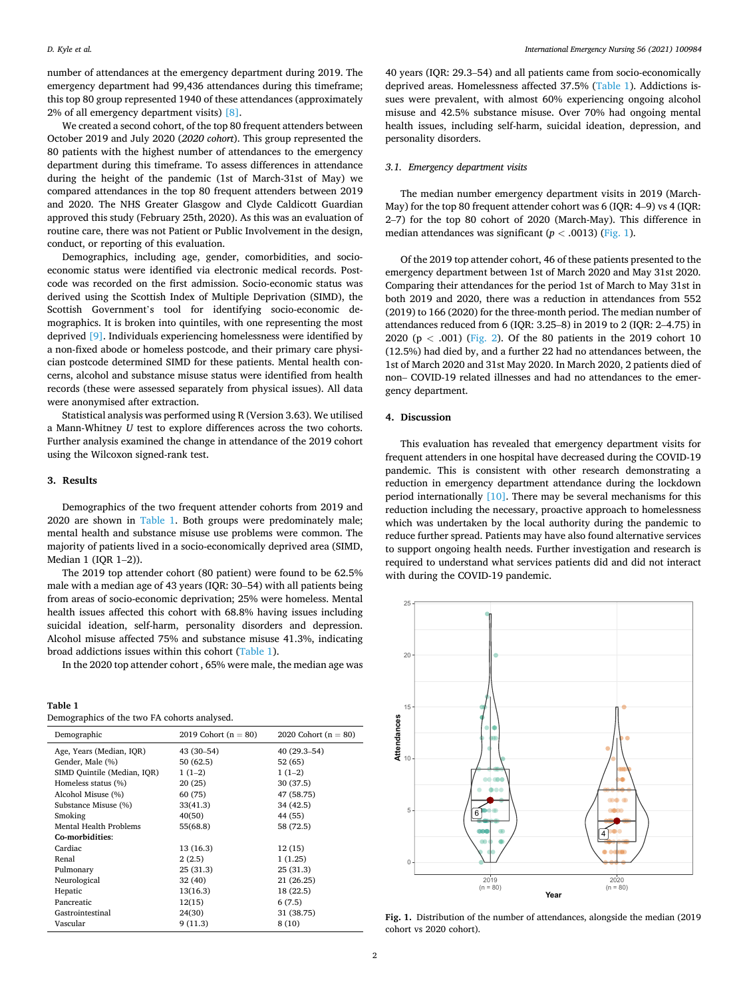number of attendances at the emergency department during 2019. The emergency department had 99,436 attendances during this timeframe; this top 80 group represented 1940 of these attendances (approximately 2% of all emergency department visits) [\[8\]](#page-2-0).

We created a second cohort, of the top 80 frequent attenders between October 2019 and July 2020 (*2020 cohort*). This group represented the 80 patients with the highest number of attendances to the emergency department during this timeframe. To assess differences in attendance during the height of the pandemic (1st of March-31st of May) we compared attendances in the top 80 frequent attenders between 2019 and 2020. The NHS Greater Glasgow and Clyde Caldicott Guardian approved this study (February 25th, 2020). As this was an evaluation of routine care, there was not Patient or Public Involvement in the design, conduct, or reporting of this evaluation.

Demographics, including age, gender, comorbidities, and socioeconomic status were identified via electronic medical records. Postcode was recorded on the first admission. Socio-economic status was derived using the Scottish Index of Multiple Deprivation (SIMD), the Scottish Government's tool for identifying socio-economic demographics. It is broken into quintiles, with one representing the most deprived [\[9\]](#page-2-0). Individuals experiencing homelessness were identified by a non-fixed abode or homeless postcode, and their primary care physician postcode determined SIMD for these patients. Mental health concerns, alcohol and substance misuse status were identified from health records (these were assessed separately from physical issues). All data were anonymised after extraction.

Statistical analysis was performed using R (Version 3.63). We utilised a Mann-Whitney *U* test to explore differences across the two cohorts. Further analysis examined the change in attendance of the 2019 cohort using the Wilcoxon signed-rank test.

#### **3. Results**

Demographics of the two frequent attender cohorts from 2019 and 2020 are shown in Table 1. Both groups were predominately male; mental health and substance misuse use problems were common. The majority of patients lived in a socio-economically deprived area (SIMD, Median 1 (IQR 1–2)).

The 2019 top attender cohort (80 patient) were found to be 62.5% male with a median age of 43 years (IQR: 30–54) with all patients being from areas of socio-economic deprivation; 25% were homeless. Mental health issues affected this cohort with 68.8% having issues including suicidal ideation, self-harm, personality disorders and depression. Alcohol misuse affected 75% and substance misuse 41.3%, indicating broad addictions issues within this cohort (Table 1).

In the 2020 top attender cohort , 65% were male, the median age was

| Table 1                                      |  |
|----------------------------------------------|--|
| Demographics of the two FA cohorts analysed. |  |

| Demographic                   | 2019 Cohort $(n = 80)$ | 2020 Cohort $(n = 80)$ |  |
|-------------------------------|------------------------|------------------------|--|
| Age, Years (Median, IQR)      | 43 (30–54)             | 40 (29.3–54)           |  |
| Gender, Male (%)              | 50 (62.5)              | 52 (65)                |  |
| SIMD Quintile (Median, IQR)   | $1(1-2)$               | $1(1-2)$               |  |
| Homeless status (%)           | 20(25)                 | 30 (37.5)              |  |
| Alcohol Misuse (%)            | 60 (75)                | 47 (58.75)             |  |
| Substance Misuse (%)          | 33(41.3)               | 34 (42.5)              |  |
| Smoking                       | 40(50)                 | 44 (55)                |  |
| <b>Mental Health Problems</b> | 55(68.8)               | 58 (72.5)              |  |
| Co-morbidities:               |                        |                        |  |
| Cardiac                       | 13 (16.3)              | 12(15)                 |  |
| Renal                         | 2(2.5)                 | 1(1.25)                |  |
| Pulmonary                     | 25 (31.3)              | 25 (31.3)              |  |
| Neurological                  | 32 (40)                | 21 (26.25)             |  |
| Hepatic                       | 13(16.3)               | 18(22.5)               |  |
| Pancreatic                    | 12(15)                 | 6(7.5)                 |  |
| Gastrointestinal              | 24(30)                 | 31 (38.75)             |  |
| Vascular                      | 9(11.3)                | 8 (10)                 |  |

40 years (IQR: 29.3–54) and all patients came from socio-economically deprived areas. Homelessness affected 37.5% (Table 1). Addictions issues were prevalent, with almost 60% experiencing ongoing alcohol misuse and 42.5% substance misuse. Over 70% had ongoing mental health issues, including self-harm, suicidal ideation, depression, and personality disorders.

### *3.1. Emergency department visits*

The median number emergency department visits in 2019 (March-May) for the top 80 frequent attender cohort was 6 (IQR: 4–9) vs 4 (IQR: 2–7) for the top 80 cohort of 2020 (March-May). This difference in median attendances was significant  $(p < .0013)$  (Fig. 1).

Of the 2019 top attender cohort, 46 of these patients presented to the emergency department between 1st of March 2020 and May 31st 2020. Comparing their attendances for the period 1st of March to May 31st in both 2019 and 2020, there was a reduction in attendances from 552 (2019) to 166 (2020) for the three-month period. The median number of attendances reduced from 6 (IQR: 3.25–8) in 2019 to 2 (IQR: 2–4.75) in 2020 (p *<* .001) [\(Fig. 2\)](#page-2-0). Of the 80 patients in the 2019 cohort 10 (12.5%) had died by, and a further 22 had no attendances between, the 1st of March 2020 and 31st May 2020. In March 2020, 2 patients died of non– COVID-19 related illnesses and had no attendances to the emergency department.

#### **4. Discussion**

This evaluation has revealed that emergency department visits for frequent attenders in one hospital have decreased during the COVID-19 pandemic. This is consistent with other research demonstrating a reduction in emergency department attendance during the lockdown period internationally [\[10\].](#page-2-0) There may be several mechanisms for this reduction including the necessary, proactive approach to homelessness which was undertaken by the local authority during the pandemic to reduce further spread. Patients may have also found alternative services to support ongoing health needs. Further investigation and research is required to understand what services patients did and did not interact with during the COVID-19 pandemic.



**Fig. 1.** Distribution of the number of attendances, alongside the median (2019 cohort vs 2020 cohort).